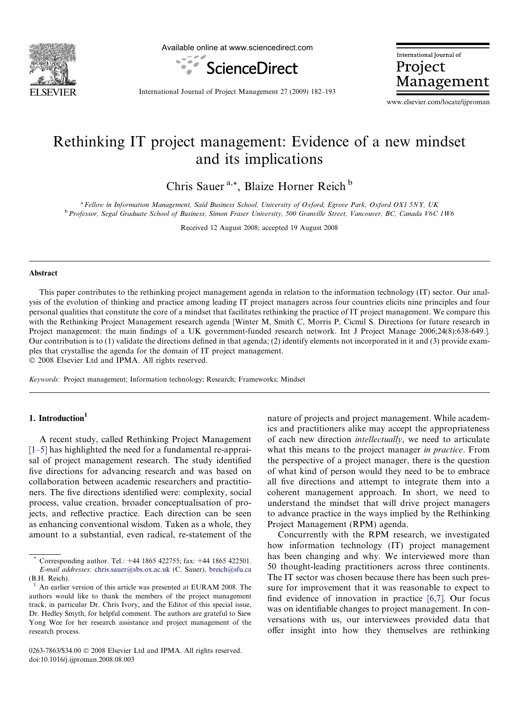

Available online at www.sciencedirect.com



International Journal of Project Management

International Journal of Project Management 27 (2009) 182–193

www.elsevier.com/locate/ijproman

## Rethinking IT project management: Evidence of a new mindset and its implications

Chris Sauer<sup>a,\*</sup>, Blaize Horner Reich<sup>b</sup>

<sup>a</sup> Fellow in Information Management, Saïd Business School, University of Oxford, Egrove Park, Oxford OX1 5NY, UK<br><sup>b</sup> Professor, Segal Graduate School of Business, Simon Fraser University, 500 Granville Street, Vancouver,

Received 12 August 2008; accepted 19 August 2008

#### Abstract

This paper contributes to the rethinking project management agenda in relation to the information technology (IT) sector. Our analysis of the evolution of thinking and practice among leading IT project managers across four countries elicits nine principles and four personal qualities that constitute the core of a mindset that facilitates rethinking the practice of IT project management. We compare this with the Rethinking Project Management research agenda [Winter M, Smith C, Morris P, Cicmil S. Directions for future research in Project management: the main findings of a UK government-funded research network. Int J Project Manage 2006;24(8):638-649.]. Our contribution is to (1) validate the directions defined in that agenda; (2) identify elements not incorporated in it and (3) provide examples that crystallise the agenda for the domain of IT project management.

© 2008 Elsevier Ltd and IPMA. All rights reserved.

Keywords: Project management; Information technology; Research; Frameworks; Mindset

#### 1. Introduction<sup>1</sup>

A recent study, called Rethinking Project Management [\[1–5\]](#page--1-0) has highlighted the need for a fundamental re-appraisal of project management research. The study identified five directions for advancing research and was based on collaboration between academic researchers and practitioners. The five directions identified were: complexity, social process, value creation, broader conceptualisation of projects, and reflective practice. Each direction can be seen as enhancing conventional wisdom. Taken as a whole, they amount to a substantial, even radical, re-statement of the nature of projects and project management. While academics and practitioners alike may accept the appropriateness of each new direction intellectually, we need to articulate what this means to the project manager in practice. From the perspective of a project manager, there is the question of what kind of person would they need to be to embrace all five directions and attempt to integrate them into a coherent management approach. In short, we need to understand the mindset that will drive project managers to advance practice in the ways implied by the Rethinking Project Management (RPM) agenda.

Concurrently with the RPM research, we investigated how information technology (IT) project management has been changing and why. We interviewed more than 50 thought-leading practitioners across three continents. The IT sector was chosen because there has been such pressure for improvement that it was reasonable to expect to find evidence of innovation in practice [\[6,7\]](#page--1-0). Our focus was on identifiable changes to project management. In conversations with us, our interviewees provided data that offer insight into how they themselves are rethinking

Corresponding author. Tel.: +44 1865 422755; fax: +44 1865 422501. E-mail addresses: [chris.sauer@sbs.ox.ac.uk](mailto:chris.sauer@sbs.ox.ac.uk) (C. Sauer), [breich@sfu.ca](mailto:breich@sfu.ca) (B.H. Reich).

An earlier version of this article was presented at EURAM 2008. The authors would like to thank the members of the project management track, in particular Dr. Chris Ivory, and the Editor of this special issue, Dr. Hedley Smyth, for helpful comment. The authors are grateful to Siew Yong Wee for her research assistance and project management of the research process.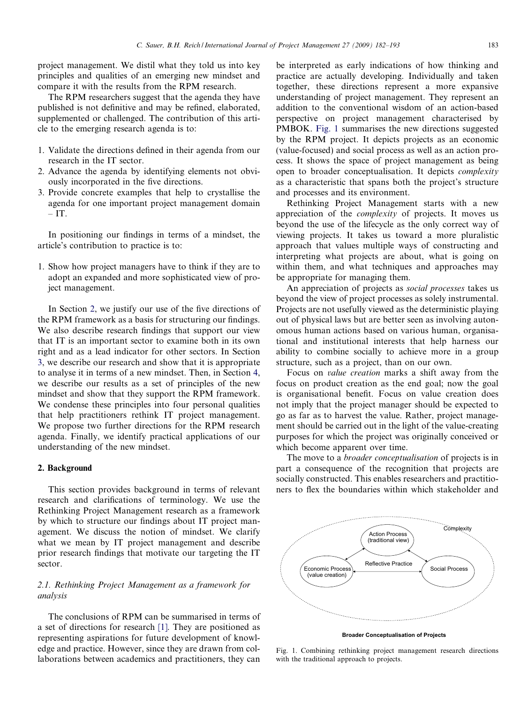project management. We distil what they told us into key principles and qualities of an emerging new mindset and compare it with the results from the RPM research.

The RPM researchers suggest that the agenda they have published is not definitive and may be refined, elaborated, supplemented or challenged. The contribution of this article to the emerging research agenda is to:

- 1. Validate the directions defined in their agenda from our research in the IT sector.
- 2. Advance the agenda by identifying elements not obviously incorporated in the five directions.
- 3. Provide concrete examples that help to crystallise the agenda for one important project management domain  $-$ IT.

In positioning our findings in terms of a mindset, the article's contribution to practice is to:

1. Show how project managers have to think if they are to adopt an expanded and more sophisticated view of project management.

In Section 2, we justify our use of the five directions of the RPM framework as a basis for structuring our findings. We also describe research findings that support our view that IT is an important sector to examine both in its own right and as a lead indicator for other sectors. In Section [3,](#page--1-0) we describe our research and show that it is appropriate to analyse it in terms of a new mindset. Then, in Section [4,](#page--1-0) we describe our results as a set of principles of the new mindset and show that they support the RPM framework. We condense these principles into four personal qualities that help practitioners rethink IT project management. We propose two further directions for the RPM research agenda. Finally, we identify practical applications of our understanding of the new mindset.

### 2. Background

This section provides background in terms of relevant research and clarifications of terminology. We use the Rethinking Project Management research as a framework by which to structure our findings about IT project management. We discuss the notion of mindset. We clarify what we mean by IT project management and describe prior research findings that motivate our targeting the IT sector.

### 2.1. Rethinking Project Management as a framework for analysis

The conclusions of RPM can be summarised in terms of a set of directions for research [\[1\].](#page--1-0) They are positioned as representing aspirations for future development of knowledge and practice. However, since they are drawn from collaborations between academics and practitioners, they can

be interpreted as early indications of how thinking and practice are actually developing. Individually and taken together, these directions represent a more expansive understanding of project management. They represent an addition to the conventional wisdom of an action-based perspective on project management characterised by PMBOK. Fig. 1 summarises the new directions suggested by the RPM project. It depicts projects as an economic (value-focused) and social process as well as an action process. It shows the space of project management as being open to broader conceptualisation. It depicts complexity as a characteristic that spans both the project's structure and processes and its environment.

Rethinking Project Management starts with a new appreciation of the complexity of projects. It moves us beyond the use of the lifecycle as the only correct way of viewing projects. It takes us toward a more pluralistic approach that values multiple ways of constructing and interpreting what projects are about, what is going on within them, and what techniques and approaches may be appropriate for managing them.

An appreciation of projects as social processes takes us beyond the view of project processes as solely instrumental. Projects are not usefully viewed as the deterministic playing out of physical laws but are better seen as involving autonomous human actions based on various human, organisational and institutional interests that help harness our ability to combine socially to achieve more in a group structure, such as a project, than on our own.

Focus on value creation marks a shift away from the focus on product creation as the end goal; now the goal is organisational benefit. Focus on value creation does not imply that the project manager should be expected to go as far as to harvest the value. Rather, project management should be carried out in the light of the value-creating purposes for which the project was originally conceived or which become apparent over time.

The move to a *broader conceptualisation* of projects is in part a consequence of the recognition that projects are socially constructed. This enables researchers and practitioners to flex the boundaries within which stakeholder and



**Broader Conceptualisation of Projects**

Fig. 1. Combining rethinking project management research directions with the traditional approach to projects.